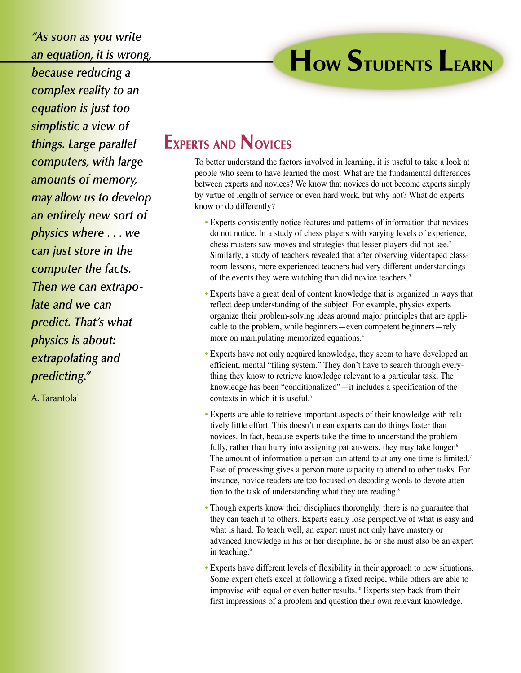*"As soon as you write an equation, it is wrong,*

*because reducing a complex reality to an equation is just too simplistic a view of things. Large parallel computers, with large amounts of memory, may allow us to develop an entirely new sort of physics where . . . we can just store in the computer the facts. Then we can extrapolate and we can predict. That's what physics is about: extrapolating and predicting."*

A. Tarantola<sup>1</sup>

**HOW STUDENTS LEARN**

## **EXPERTS AND NOVICES**

To better understand the factors involved in learning, it is useful to take a look at people who seem to have learned the most. What are the fundamental differences between experts and novices? We know that novices do not become experts simply by virtue of length of service or even hard work, but why not? What do experts know or do differently?

- Experts consistently notice features and patterns of information that novices do not notice. In a study of chess players with varying levels of experience, chess masters saw moves and strategies that lesser players did not see.<sup>2</sup> Similarly, a study of teachers revealed that after observing videotaped classroom lessons, more experienced teachers had very different understandings of the events they were watching than did novice teachers.<sup>3</sup>
- Experts have a great deal of content knowledge that is organized in ways that reflect deep understanding of the subject. For example, physics experts organize their problem-solving ideas around major principles that are applicable to the problem, while beginners—even competent beginners—rely more on manipulating memorized equations.4
- Experts have not only acquired knowledge, they seem to have developed an efficient, mental "filing system." They don't have to search through everything they know to retrieve knowledge relevant to a particular task. The knowledge has been "conditionalized"—it includes a specification of the contexts in which it is useful.5
- Experts are able to retrieve important aspects of their knowledge with relatively little effort. This doesn't mean experts can do things faster than novices. In fact, because experts take the time to understand the problem fully, rather than hurry into assigning pat answers, they may take longer.<sup>6</sup> The amount of information a person can attend to at any one time is limited.<sup>7</sup> Ease of processing gives a person more capacity to attend to other tasks. For instance, novice readers are too focused on decoding words to devote attention to the task of understanding what they are reading.<sup>8</sup>
- Though experts know their disciplines thoroughly, there is no guarantee that they can teach it to others. Experts easily lose perspective of what is easy and what is hard. To teach well, an expert must not only have mastery or advanced knowledge in his or her discipline, he or she must also be an expert in teaching.<sup>9</sup>
- Experts have different levels of flexibility in their approach to new situations. Some expert chefs excel at following a fixed recipe, while others are able to improvise with equal or even better results.<sup>10</sup> Experts step back from their first impressions of a problem and question their own relevant knowledge.